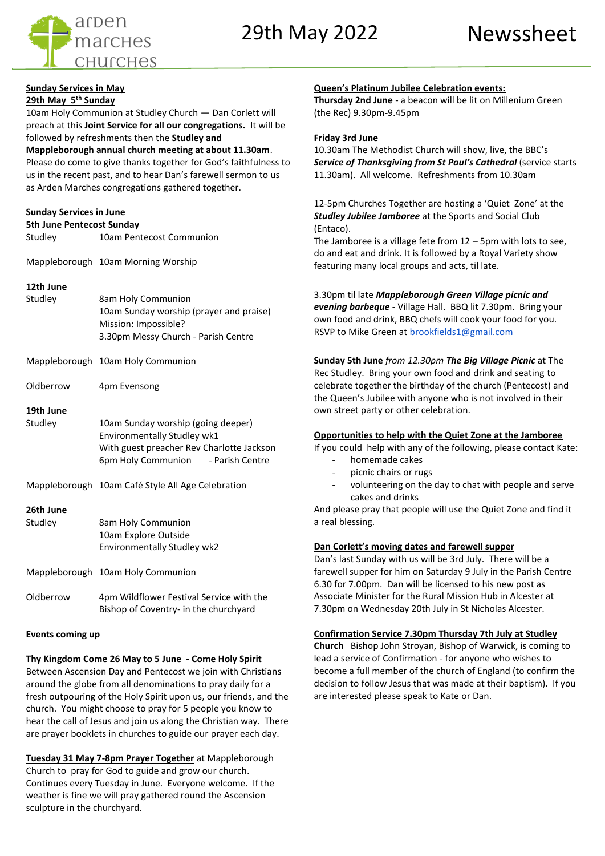29th May 2022 Newssheet



### **Sunday Services in May 29th May 5th Sunday**

10am Holy Communion at Studley Church — Dan Corlett will preach at this **Joint Service for all our congregations.** It will be followed by refreshments then the **Studley and** 

**Mappleborough annual church meeting at about 11.30am**.

Please do come to give thanks together for God's faithfulness to us in the recent past, and to hear Dan's farewell sermon to us as Arden Marches congregations gathered together.

### **Sunday Services in June**

| <b>5th June Pentecost Sunday</b> |                                    |  |  |  |
|----------------------------------|------------------------------------|--|--|--|
| Studley                          | 10am Pentecost Communion           |  |  |  |
|                                  | Mappleborough 10am Morning Worship |  |  |  |

### **12th June**

| Studley | 8am Holy Communion                      |
|---------|-----------------------------------------|
|         | 10am Sunday worship (prayer and praise) |
|         | Mission: Impossible?                    |
|         | 3.30pm Messy Church - Parish Centre     |
|         |                                         |

| Mappleborough 10am Holy Communion |
|-----------------------------------|
|                                   |

# Oldberrow 4pm Evensong

### **19th June**

| Studley   | 10am Sunday worship (going deeper)<br>Environmentally Studley wk1<br>With guest preacher Rev Charlotte Jackson<br>6pm Holy Communion - Parish Centre |  |
|-----------|------------------------------------------------------------------------------------------------------------------------------------------------------|--|
|           | Mappleborough 10am Café Style All Age Celebration                                                                                                    |  |
| 26th June |                                                                                                                                                      |  |
| Studley   | 8am Holy Communion                                                                                                                                   |  |
|           | 10am Explore Outside                                                                                                                                 |  |
|           | Environmentally Studley wk2                                                                                                                          |  |

Mappleborough 10am Holy Communion

Oldberrow 4pm Wildflower Festival Service with the Bishop of Coventry- in the churchyard

### **Events coming up**

### **Thy Kingdom Come 26 May to 5 June - Come Holy Spirit**

Between Ascension Day and Pentecost we join with Christians around the globe from all denominations to pray daily for a fresh outpouring of the Holy Spirit upon us, our friends, and the church. You might choose to pray for 5 people you know to hear the call of Jesus and join us along the Christian way. There are prayer booklets in churches to guide our prayer each day.

**Tuesday 31 May 7-8pm Prayer Together** at Mappleborough Church to pray for God to guide and grow our church. Continues every Tuesday in June. Everyone welcome. If the weather is fine we will pray gathered round the Ascension sculpture in the churchyard.

### **Queen's Platinum Jubilee Celebration events:**

**Thursday 2nd June** - a beacon will be lit on Millenium Green (the Rec) 9.30pm-9.45pm

### **Friday 3rd June**

10.30am The Methodist Church will show, live, the BBC's *Service of Thanksgiving from St Paul's Cathedral* (service starts 11.30am). All welcome. Refreshments from 10.30am

12-5pm Churches Together are hosting a 'Quiet Zone' at the *Studley Jubilee Jamboree* at the Sports and Social Club (Entaco).

The Jamboree is a village fete from 12 – 5pm with lots to see, do and eat and drink. It is followed by a Royal Variety show featuring many local groups and acts, til late.

3.30pm til late *Mappleborough Green Village picnic and evening barbeque* - Village Hall. BBQ lit 7.30pm. Bring your own food and drink, BBQ chefs will cook your food for you. RSVP to Mike Green at brookfields1@gmail.com

**Sunday 5th June** *from 12.30pm The Big Village Picnic* at The Rec Studley. Bring your own food and drink and seating to celebrate together the birthday of the church (Pentecost) and the Queen's Jubilee with anyone who is not involved in their own street party or other celebration.

### **Opportunities to help with the Quiet Zone at the Jamboree**

If you could help with any of the following, please contact Kate:

- homemade cakes
- picnic chairs or rugs
- volunteering on the day to chat with people and serve cakes and drinks

And please pray that people will use the Quiet Zone and find it a real blessing.

### **Dan Corlett's moving dates and farewell supper**

Dan's last Sunday with us will be 3rd July. There will be a farewell supper for him on Saturday 9 July in the Parish Centre 6.30 for 7.00pm. Dan will be licensed to his new post as Associate Minister for the Rural Mission Hub in Alcester at 7.30pm on Wednesday 20th July in St Nicholas Alcester.

### **Confirmation Service 7.30pm Thursday 7th July at Studley**

**Church** Bishop John Stroyan, Bishop of Warwick, is coming to lead a service of Confirmation - for anyone who wishes to become a full member of the church of England (to confirm the decision to follow Jesus that was made at their baptism). If you are interested please speak to Kate or Dan.